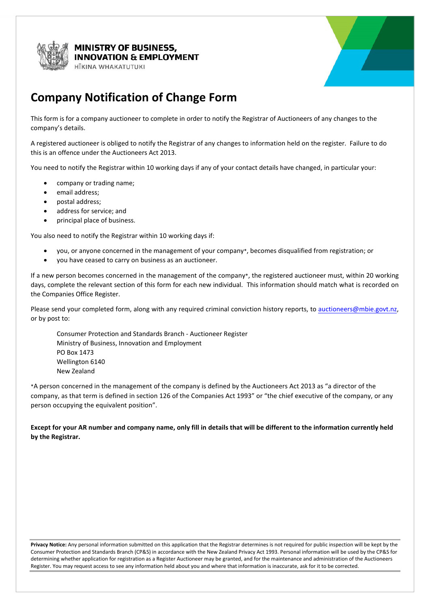

MINISTRY OF BUSINESS, **INNOVATION & EMPLOYMENT** 



## HĪKINA WHAKATUTUKI

## **Company Notification of Change Form**

This form is for a company auctioneer to complete in order to notify the Registrar of Auctioneers of any changes to the company's details.

A registered auctioneer is obliged to notify the Registrar of any changes to information held on the register. Failure to do this is an offence under the Auctioneers Act 2013.

You need to notify the Registrar within 10 working days if any of your contact details have changed, in particular your:

- company or trading name;
- email address:
- postal address;
- address for service; and
- principal place of business.

You also need to notify the Registrar within 10 working days if:

- you, or anyone concerned in the management of your company\*, becomes disqualified from registration; or
- you have ceased to carry on business as an auctioneer.

If a new person becomes concerned in the management of the company\*, the registered auctioneer must, within 20 working days, complete the relevant section of this form for each new individual. This information should match what is recorded on the Companies Office Register.

Please send your completed form, along with any required criminal conviction history reports, to auctioneers@mbie.govt.nz, or by post to:

Consumer Protection and Standards Branch - Auctioneer Register Ministry of Business, Innovation and Employment PO Box 1473 Wellington 6140 New Zealand

\*A person concerned in the management of the company is defined by the Auctioneers Act 2013 as "a director of the company, as that term is defined in section 126 of the Companies Act 1993" or "the chief executive of the company, or any person occupying the equivalent position".

**Except for your AR number and company name, only fill in details that will be different to the information currently held by the Registrar.** 

**Privacy Notice:** Any personal information submitted on this application that the Registrar determines is not required for public inspection will be kept by the Consumer Protection and Standards Branch (CP&S) in accordance with the New Zealand Privacy Act 1993. Personal information will be used by the CP&S for determining whether application for registration as a Register Auctioneer may be granted, and for the maintenance and administration of the Auctioneers Register. You may request access to see any information held about you and where that information is inaccurate, ask for it to be corrected.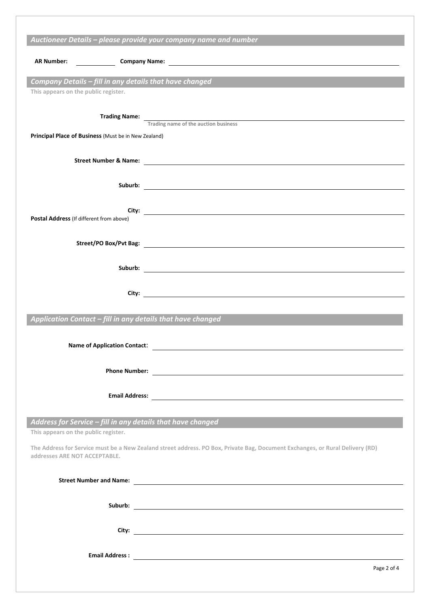|                                                                                                 | Auctioneer Details - please provide your company name and number                                                              |
|-------------------------------------------------------------------------------------------------|-------------------------------------------------------------------------------------------------------------------------------|
|                                                                                                 |                                                                                                                               |
|                                                                                                 |                                                                                                                               |
| Company Details - fill in any details that have changed<br>This appears on the public register. |                                                                                                                               |
|                                                                                                 |                                                                                                                               |
|                                                                                                 | <b>Trading Name:</b> Trading name of the auction business                                                                     |
| Principal Place of Business (Must be in New Zealand)                                            |                                                                                                                               |
|                                                                                                 |                                                                                                                               |
|                                                                                                 |                                                                                                                               |
|                                                                                                 |                                                                                                                               |
|                                                                                                 |                                                                                                                               |
|                                                                                                 |                                                                                                                               |
| Postal Address (If different from above)                                                        |                                                                                                                               |
|                                                                                                 |                                                                                                                               |
|                                                                                                 |                                                                                                                               |
|                                                                                                 |                                                                                                                               |
|                                                                                                 |                                                                                                                               |
|                                                                                                 |                                                                                                                               |
|                                                                                                 |                                                                                                                               |
| Application Contact - fill in any details that have changed                                     |                                                                                                                               |
|                                                                                                 |                                                                                                                               |
| <b>Name of Application Contact:</b>                                                             |                                                                                                                               |
|                                                                                                 |                                                                                                                               |
|                                                                                                 |                                                                                                                               |
|                                                                                                 |                                                                                                                               |
|                                                                                                 |                                                                                                                               |
| Address for Service - fill in any details that have changed                                     |                                                                                                                               |
| This appears on the public register.                                                            |                                                                                                                               |
|                                                                                                 | The Address for Service must be a New Zealand street address. PO Box, Private Bag, Document Exchanges, or Rural Delivery (RD) |
| addresses ARE NOT ACCEPTABLE.                                                                   |                                                                                                                               |
|                                                                                                 |                                                                                                                               |
|                                                                                                 |                                                                                                                               |
|                                                                                                 |                                                                                                                               |
|                                                                                                 |                                                                                                                               |
|                                                                                                 |                                                                                                                               |
|                                                                                                 |                                                                                                                               |
|                                                                                                 | Page 2 of 4                                                                                                                   |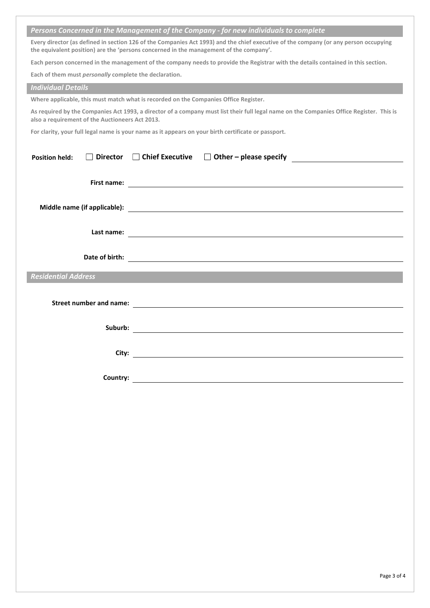| Persons Concerned in the Management of the Company - for new individuals to complete                                                                                                                                                                                                            |  |
|-------------------------------------------------------------------------------------------------------------------------------------------------------------------------------------------------------------------------------------------------------------------------------------------------|--|
| Every director (as defined in section 126 of the Companies Act 1993) and the chief executive of the company (or any person occupying<br>the equivalent position) are the 'persons concerned in the management of the company'.                                                                  |  |
| Each person concerned in the management of the company needs to provide the Registrar with the details contained in this section.                                                                                                                                                               |  |
| Each of them must personally complete the declaration.                                                                                                                                                                                                                                          |  |
| <b>Individual Details</b>                                                                                                                                                                                                                                                                       |  |
| Where applicable, this must match what is recorded on the Companies Office Register.                                                                                                                                                                                                            |  |
| As required by the Companies Act 1993, a director of a company must list their full legal name on the Companies Office Register. This is<br>also a requirement of the Auctioneers Act 2013.                                                                                                     |  |
| For clarity, your full legal name is your name as it appears on your birth certificate or passport.                                                                                                                                                                                             |  |
|                                                                                                                                                                                                                                                                                                 |  |
| Director $\Box$ Chief Executive<br>□ Other – please specify <u>contract and the set of the set of the set of the set of the set of the set of the set of the set of the set of the set of the set of the set of the set of the set of the set of the set of the se</u><br><b>Position held:</b> |  |
|                                                                                                                                                                                                                                                                                                 |  |
| Middle name (if applicable): example and a set of the set of the set of the set of the set of the set of the set of the set of the set of the set of the set of the set of the set of the set of the set of the set of the set                                                                  |  |
|                                                                                                                                                                                                                                                                                                 |  |
|                                                                                                                                                                                                                                                                                                 |  |
|                                                                                                                                                                                                                                                                                                 |  |
| <b>Residential Address</b>                                                                                                                                                                                                                                                                      |  |
|                                                                                                                                                                                                                                                                                                 |  |
|                                                                                                                                                                                                                                                                                                 |  |
|                                                                                                                                                                                                                                                                                                 |  |
|                                                                                                                                                                                                                                                                                                 |  |
| City:<br><u> 1980 - Jan Samuel Barbara, margaret e populazion del control del control del control del control de la provi</u>                                                                                                                                                                   |  |
|                                                                                                                                                                                                                                                                                                 |  |
|                                                                                                                                                                                                                                                                                                 |  |
|                                                                                                                                                                                                                                                                                                 |  |
|                                                                                                                                                                                                                                                                                                 |  |
|                                                                                                                                                                                                                                                                                                 |  |
|                                                                                                                                                                                                                                                                                                 |  |
|                                                                                                                                                                                                                                                                                                 |  |
|                                                                                                                                                                                                                                                                                                 |  |
|                                                                                                                                                                                                                                                                                                 |  |
|                                                                                                                                                                                                                                                                                                 |  |
|                                                                                                                                                                                                                                                                                                 |  |
|                                                                                                                                                                                                                                                                                                 |  |
|                                                                                                                                                                                                                                                                                                 |  |
|                                                                                                                                                                                                                                                                                                 |  |